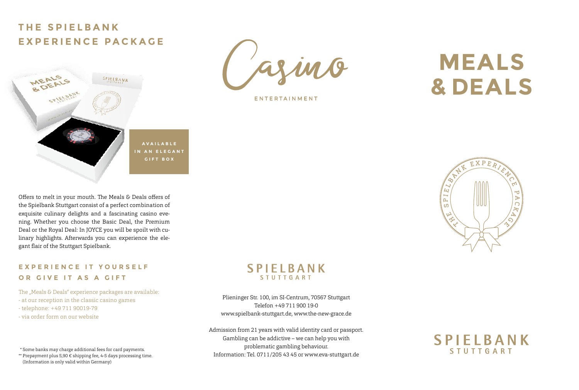## **THE SPIELBANK EXPERIENCE PACKAGE**



Offers to melt in your mouth. The Meals & Deals offers of the Spielbank Stuttgart consist of a perfect combination of exquisite culinary delights and a fascinating casino evening. Whether you choose the Basic Deal, the Premium Deal or the Royal Deal: In JOYCE you will be spoilt with culinary highlights. Afterwards you can experience the elegant flair of the Stuttgart Spielbank.

## **EXPERIENCE IT YOURSELF OR GIVE IT AS A GIFT**

The "Meals & Deals" experience packages are available: - at our reception in the classic casino games - telephone: +49 711 90019-79 - via order form on our website

Some banks may charge additional fees for card payments. \* Prepayment plus 5,90 € shipping fee, 4-5 days processing time. \*\* (Information is only valid within Germany)



ENTERTAINMENT

# **MEALS & DEALS**



## **SPIELBANK STUTTGART**

Plieninger Str. 100, im SI-Centrum, 70567 Stuttgart Telefon +49 711 900 19-0 www.spielbank-stuttgart.de, www.the-new-grace.de

Admission from 21 years with valid identity card or passport. Gambling can be addictive – we can help you with problematic gambling behaviour. Information: Tel. 0711/205 43 45 or www.eva-stuttgart.de